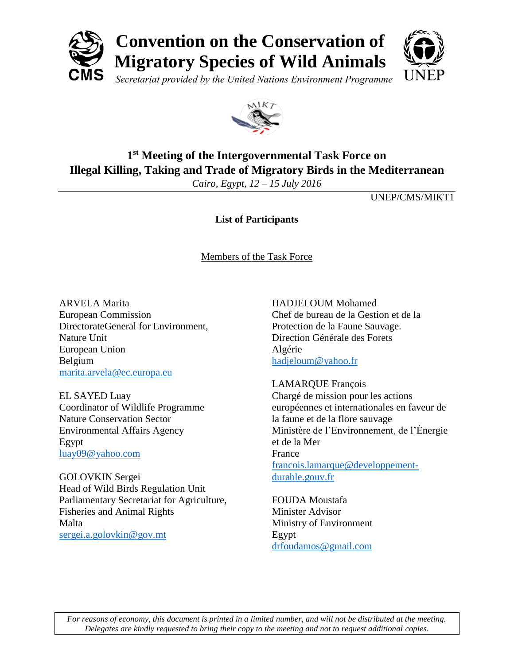

## **Convention on the Conservation of Migratory Species of Wild Animals**



*Secretariat provided by the United Nations Environment Programme*



## **1 st Meeting of the Intergovernmental Task Force on Illegal Killing, Taking and Trade of Migratory Birds in the Mediterranean**

*Cairo, Egypt, 12 – 15 July 2016*

UNEP/CMS/MIKT1

**List of Participants**

Members of the Task Force

ARVELA Marita European Commission DirectorateGeneral for Environment, Nature Unit European Union Belgium [marita.arvela@ec.europa.eu](mailto:marita.arvela@ec.europa.eu)

EL SAYED Luay Coordinator of Wildlife Programme Nature Conservation Sector Environmental Affairs Agency Egypt [luay09@yahoo.com](mailto:luay09@yahoo.com)

GOLOVKIN Sergei Head of Wild Birds Regulation Unit Parliamentary Secretariat for Agriculture, Fisheries and Animal Rights Malta [sergei.a.golovkin@gov.mt](mailto:sergei.a.golovkin@gov.mt)

HADJELOUM Mohamed Chef de bureau de la Gestion et de la Protection de la Faune Sauvage. Direction Générale des Forets Algérie [hadjeloum@yahoo.fr](mailto:hadjeloum@yahoo.fr)

LAMARQUE François Chargé de mission pour les actions européennes et internationales en faveur de la faune et de la flore sauvage Ministère de l'Environnement, de l'Énergie et de la Mer France [francois.lamarque@developpement](mailto:francois.lamarque@developpement-durable.gouv.fr)[durable.gouv.fr](mailto:francois.lamarque@developpement-durable.gouv.fr)

FOUDA Moustafa Minister Advisor Ministry of Environment Egypt [drfoudamos@gmail.com](mailto:drfoudamos@gmail.com)

*For reasons of economy, this document is printed in a limited number, and will not be distributed at the meeting. Delegates are kindly requested to bring their copy to the meeting and not to request additional copies.*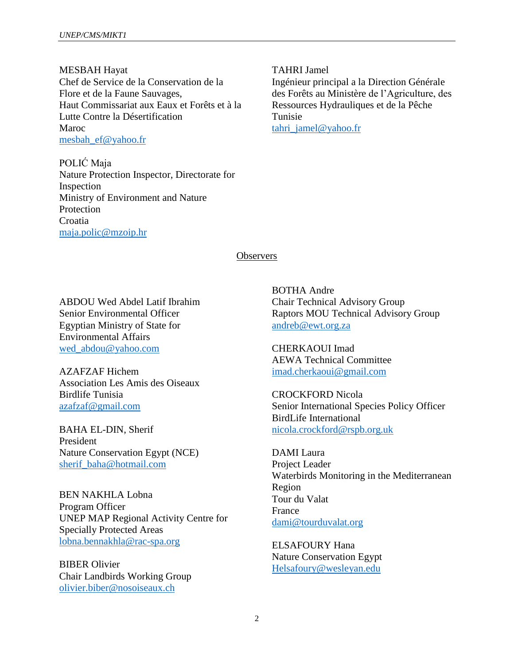MESBAH Hayat Chef de Service de la Conservation de la Flore et de la Faune Sauvages, Haut Commissariat aux Eaux et Forêts et à la Lutte Contre la Désertification Maroc [mesbah\\_ef@yahoo.fr](mailto:mesbah_ef@yahoo.fr)

POLIĆ Maja Nature Protection Inspector, Directorate for Inspection Ministry of Environment and Nature Protection Croatia [maja.polic@mzoip.hr](mailto:maja.polic@mzoip.hr)

TAHRI Jamel

Ingénieur principal a la Direction Générale des Forêts au Ministère de l'Agriculture, des Ressources Hydrauliques et de la Pêche Tunisie [tahri\\_jamel@yahoo.fr](mailto:tahri_jamel@yahoo.fr)

**Observers** 

ABDOU Wed Abdel Latif Ibrahim Senior Environmental Officer Egyptian Ministry of State for Environmental Affairs [wed\\_abdou@yahoo.com](mailto:wed_abdou@yahoo.com)

AZAFZAF Hichem Association Les Amis des Oiseaux Birdlife Tunisia [azafzaf@gmail.com](mailto:azafzaf@gmail.com)

BAHA EL-DIN, Sherif President Nature Conservation Egypt (NCE) [sherif\\_baha@hotmail.com](mailto:sherif_baha@hotmail.com)

BEN NAKHLA Lobna Program Officer UNEP MAP Regional Activity Centre for Specially Protected Areas [lobna.bennakhla@rac-spa.org](mailto:lobna.bennakhla@rac-spa.org)

BIBER Olivier Chair Landbirds Working Group [olivier.biber@nosoiseaux.ch](mailto:olivier.biber@nosoiseaux.ch)

BOTHA Andre Chair Technical Advisory Group Raptors MOU Technical Advisory Group [andreb@ewt.org.za](mailto:andreb@ewt.org.za)

CHERKAOUI Imad AEWA Technical Committee [imad.cherkaoui@gmail.com](mailto:imad.cherkaoui@gmail.com)

CROCKFORD Nicola Senior International Species Policy Officer BirdLife International [nicola.crockford@rspb.org.uk](mailto:nicola.crockford@rspb.org.uk)

DAMI Laura Project Leader Waterbirds Monitoring in the Mediterranean Region Tour du Valat France [dami@tourduvalat.org](mailto:dami@tourduvalat.org)

ELSAFOURY Hana Nature Conservation Egypt [Helsafoury@wesleyan.edu](mailto:Helsafoury@wesleyan.edu)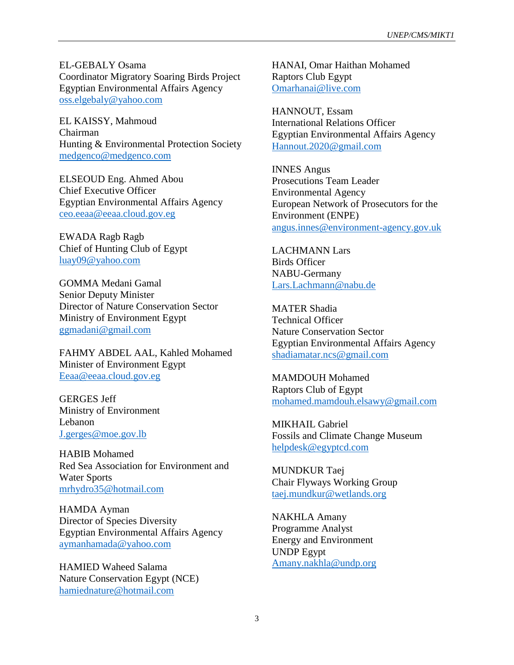EL-GEBALY Osama Coordinator Migratory Soaring Birds Project Egyptian Environmental Affairs Agency [oss.elgebaly@yahoo.com](mailto:oss.elgebaly@yahoo.com)

EL KAISSY, Mahmoud Chairman Hunting & Environmental Protection Society [medgenco@medgenco.com](mailto:medgenco@medgenco.com)

ELSEOUD Eng. Ahmed Abou Chief Executive Officer Egyptian Environmental Affairs Agency [ceo.eeaa@eeaa.cloud.gov.eg](mailto:ceo.eeaa@eeaa.cloud.gov.eg)

EWADA Ragb Ragb Chief of Hunting Club of Egypt [luay09@yahoo.com](mailto:luay09@yahoo.com)

GOMMA Medani Gamal Senior Deputy Minister Director of Nature Conservation Sector Ministry of Environment Egypt [ggmadani@gmail.com](mailto:ggmadani@gmail.com)

FAHMY ABDEL AAL, Kahled Mohamed Minister of Environment Egypt [Eeaa@eeaa.cloud.gov.eg](mailto:Eeaa@eeaa.cloud.gov.eg)

GERGES Jeff Ministry of Environment Lebanon [J.gerges@moe.gov.lb](mailto:J.gerges@moe.gov.lb)

HABIB Mohamed Red Sea Association for Environment and Water Sports [mrhydro35@hotmail.com](mailto:mrhydro35@hotmail.com)

HAMDA Ayman Director of Species Diversity Egyptian Environmental Affairs Agency [aymanhamada@yahoo.com](mailto:aymanhamada@yahoo.com)

HAMIED Waheed Salama Nature Conservation Egypt (NCE) [hamiednature@hotmail.com](mailto:hamiednature@hotmail.com)

HANAI, Omar Haithan Mohamed Raptors Club Egypt [Omarhanai@live.com](mailto:Omarhanai@live.com)

HANNOUT, Essam International Relations Officer Egyptian Environmental Affairs Agency [Hannout.2020@gmail.com](mailto:Hannout.2020@gmail.com)

INNES Angus Prosecutions Team Leader Environmental Agency European Network of Prosecutors for the Environment (ENPE) [angus.innes@environment-agency.gov.uk](mailto:angus.innes@environment-agency.gov.uk)

LACHMANN Lars Birds Officer NABU-Germany [Lars.Lachmann@nabu.de](mailto:Lars.Lachmann@nabu.de)

MATER Shadia Technical Officer Nature Conservation Sector Egyptian Environmental Affairs Agency [shadiamatar.ncs@gmail.com](mailto:shadiamatar.ncs@gmail.com)

MAMDOUH Mohamed Raptors Club of Egypt [mohamed.mamdouh.elsawy@gmail.com](mailto:mohamed.mamdouh.elsawy@gmail.com)

MIKHAIL Gabriel Fossils and Climate Change Museum [helpdesk@egyptcd.com](mailto:helpdesk@egyptcd.com)

MUNDKUR Taej Chair Flyways Working Group [taej.mundkur@wetlands.org](mailto:taej.mundkur@wetlands.org)

NAKHLA Amany Programme Analyst Energy and Environment UNDP Egypt [Amany.nakhla@undp.org](mailto:Amany.nakhla@undp.org)